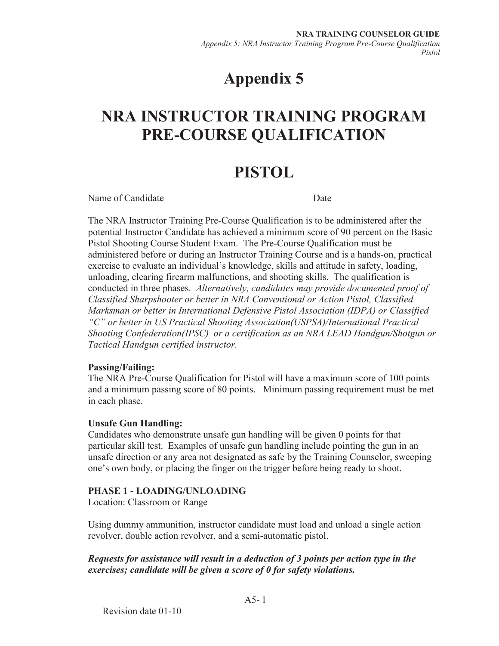# **Appendix 5**

## **NRA INSTRUCTOR TRAINING PROGRAM PRE-COURSE QUALIFICATION**

## **PISTOL**

Name of Candidate **Date** 

The NRA Instructor Training Pre-Course Qualification is to be administered after the potential Instructor Candidate has achieved a minimum score of 90 percent on the Basic Pistol Shooting Course Student Exam. The Pre-Course Qualification must be administered before or during an Instructor Training Course and is a hands-on, practical exercise to evaluate an individual's knowledge, skills and attitude in safety, loading, unloading, clearing firearm malfunctions, and shooting skills. The qualification is conducted in three phases. *Alternatively, candidates may provide documented proof of Classified Sharpshooter or better in NRA Conventional or Action Pistol, Classified Marksman or better in International Defensive Pistol Association (IDPA) or Classified "C" or better in US Practical Shooting Association(USPSA)/International Practical Shooting Confederation(IPSC) or a certification as an NRA LEAD Handgun/Shotgun or Tactical Handgun certified instructor.* 

## **Passing/Failing:**

The NRA Pre-Course Qualification for Pistol will have a maximum score of 100 points and a minimum passing score of 80 points. Minimum passing requirement must be met in each phase.

## **Unsafe Gun Handling:**

Candidates who demonstrate unsafe gun handling will be given 0 points for that particular skill test. Examples of unsafe gun handling include pointing the gun in an unsafe direction or any area not designated as safe by the Training Counselor, sweeping one's own body, or placing the finger on the trigger before being ready to shoot.

## **PHASE 1 - LOADING/UNLOADING**

Location: Classroom or Range

Using dummy ammunition, instructor candidate must load and unload a single action revolver, double action revolver, and a semi-automatic pistol.

*Requests for assistance will result in a deduction of 3 points per action type in the exercises; candidate will be given a score of 0 for safety violations.*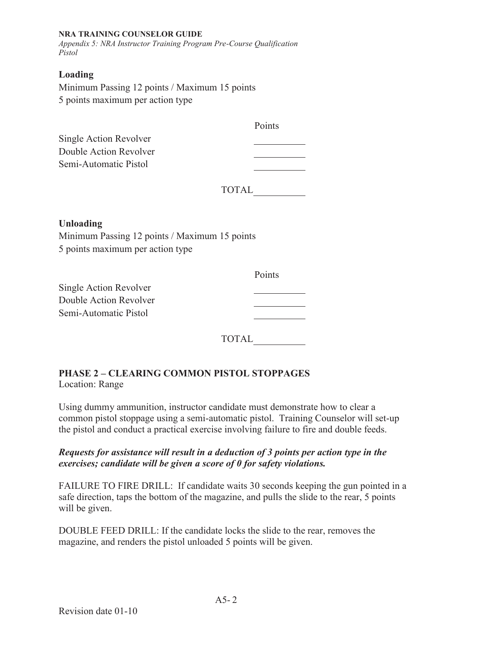#### **NRA TRAINING COUNSELOR GUIDE**

*Appendix 5: NRA Instructor Training Program Pre-Course Qualification Pistol* 

#### **Loading**

Minimum Passing 12 points / Maximum 15 points 5 points maximum per action type

| Points |
|--------|
|        |
|        |
|        |
|        |

| <b>TOTAL</b> |  |
|--------------|--|
|--------------|--|

#### **Unloading**

Minimum Passing 12 points / Maximum 15 points 5 points maximum per action type

|                        | Points |
|------------------------|--------|
| Single Action Revolver |        |
| Double Action Revolver |        |
| Semi-Automatic Pistol  |        |
|                        |        |

TOTAL

## **PHASE 2 – CLEARING COMMON PISTOL STOPPAGES**

Location: Range

Using dummy ammunition, instructor candidate must demonstrate how to clear a common pistol stoppage using a semi-automatic pistol. Training Counselor will set-up the pistol and conduct a practical exercise involving failure to fire and double feeds.

*Requests for assistance will result in a deduction of 3 points per action type in the exercises; candidate will be given a score of 0 for safety violations.* 

FAILURE TO FIRE DRILL: If candidate waits 30 seconds keeping the gun pointed in a safe direction, taps the bottom of the magazine, and pulls the slide to the rear, 5 points will be given.

DOUBLE FEED DRILL: If the candidate locks the slide to the rear, removes the magazine, and renders the pistol unloaded 5 points will be given.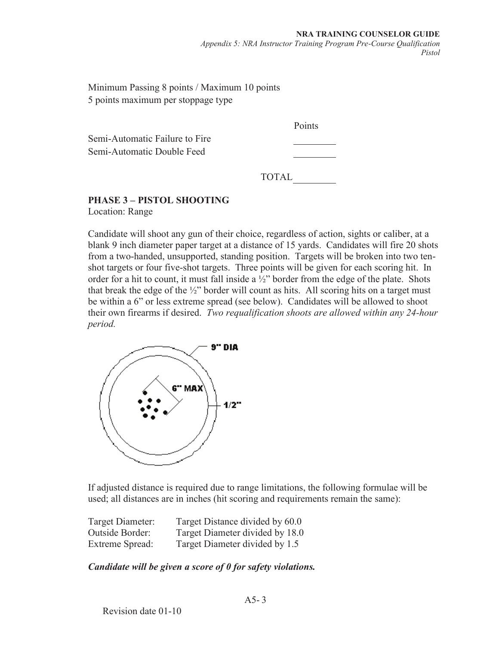#### **NRA TRAINING COUNSELOR GUIDE** *Appendix 5: NRA Instructor Training Program Pre-Course Qualification Pistol*

Minimum Passing 8 points / Maximum 10 points 5 points maximum per stoppage type

Semi-Automatic Failure to Fire Semi-Automatic Double Feed

**Points** 

TOTAL

## **PHASE 3 – PISTOL SHOOTING**

Location: Range

Candidate will shoot any gun of their choice, regardless of action, sights or caliber, at a blank 9 inch diameter paper target at a distance of 15 yards. Candidates will fire 20 shots from a two-handed, unsupported, standing position. Targets will be broken into two tenshot targets or four five-shot targets. Three points will be given for each scoring hit. In order for a hit to count, it must fall inside a ½" border from the edge of the plate. Shots that break the edge of the ½" border will count as hits. All scoring hits on a target must be within a 6" or less extreme spread (see below). Candidates will be allowed to shoot their own firearms if desired. *Two requalification shoots are allowed within any 24-hour period.* 



If adjusted distance is required due to range limitations, the following formulae will be used; all distances are in inches (hit scoring and requirements remain the same):

| Target Diameter: | Target Distance divided by 60.0 |
|------------------|---------------------------------|
| Outside Border:  | Target Diameter divided by 18.0 |
| Extreme Spread:  | Target Diameter divided by 1.5  |

*Candidate will be given a score of 0 for safety violations.*